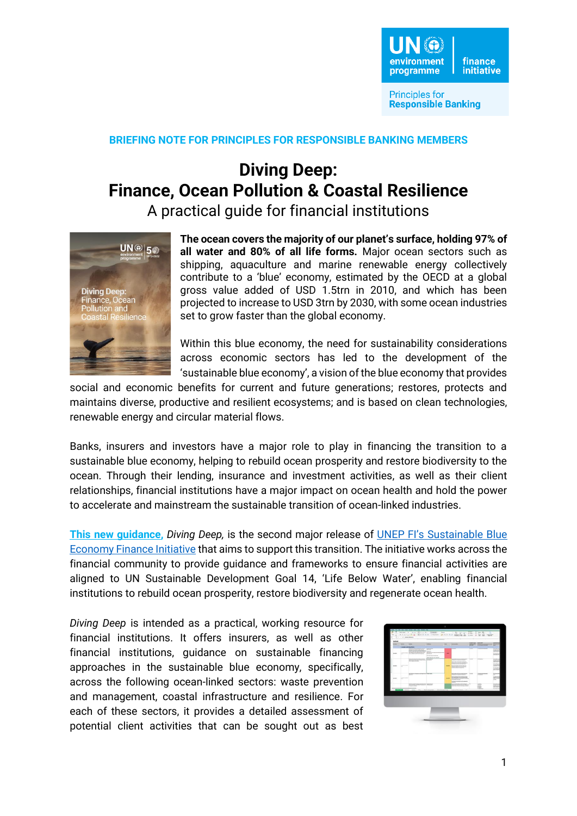

**Principles for Responsible Banking** 

## **BRIEFING NOTE FOR PRINCIPLES FOR RESPONSIBLE BANKING MEMBERS**

## **Diving Deep: Finance, Ocean Pollution & Coastal Resilience**

A practical guide for financial institutions



**The ocean covers the majority of our planet's surface, holding 97% of all water and 80% of all life forms.** Major ocean sectors such as shipping, aquaculture and marine renewable energy collectively contribute to a 'blue' economy, estimated by the OECD at a global gross value added of USD 1.5trn in 2010, and which has been projected to increase to USD 3trn by 2030, with some ocean industries set to grow faster than the global economy.

Within this blue economy, the need for sustainability considerations across economic sectors has led to the development of the 'sustainable blue economy', a vision of the blue economy that provides

social and economic benefits for current and future generations; restores, protects and maintains diverse, productive and resilient ecosystems; and is based on clean technologies, renewable energy and circular material flows.

Banks, insurers and investors have a major role to play in financing the transition to a sustainable blue economy, helping to rebuild ocean prosperity and restore biodiversity to the ocean. Through their lending, insurance and investment activities, as well as their client relationships, financial institutions have a major impact on ocean health and hold the power to accelerate and mainstream the sustainable transition of ocean-linked industries.

**[This new guidance,](http://bit.ly/UNdivingdeep)** *Diving Deep,* is the second major release of [UNEP FI's Sustainable Blue](https://www.unepfi.org/blue-finance/)  [Economy Finance Initiative](https://www.unepfi.org/blue-finance/) that aims to support this transition. The initiative works across the financial community to provide guidance and frameworks to ensure financial activities are aligned to UN Sustainable Development Goal 14, 'Life Below Water', enabling financial institutions to rebuild ocean prosperity, restore biodiversity and regenerate ocean health.

*Diving Deep* is intended as a practical, working resource for financial institutions. It offers insurers, as well as other financial institutions, guidance on sustainable financing approaches in the sustainable blue economy, specifically, across the following ocean-linked sectors: waste prevention and management, coastal infrastructure and resilience. For each of these sectors, it provides a detailed assessment of potential client activities that can be sought out as best